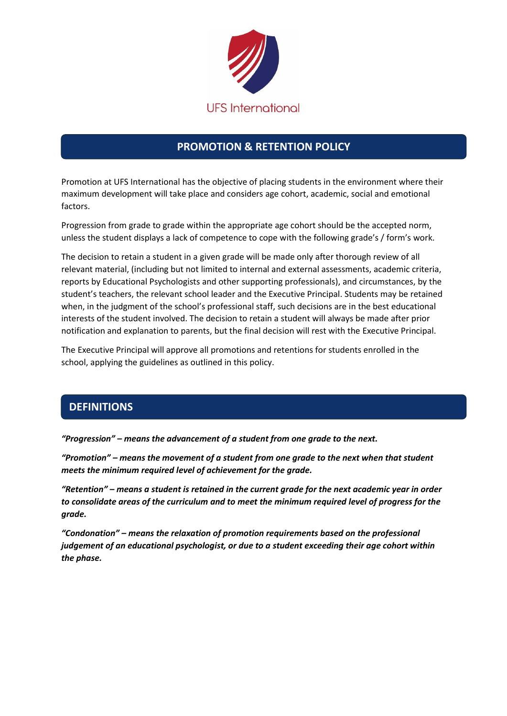

# **PROMOTION & RETENTION POLICY**

Promotion at UFS International has the objective of placing students in the environment where their maximum development will take place and considers age cohort, academic, social and emotional factors.

Progression from grade to grade within the appropriate age cohort should be the accepted norm, unless the student displays a lack of competence to cope with the following grade's / form's work.

The decision to retain a student in a given grade will be made only after thorough review of all relevant material, (including but not limited to internal and external assessments, academic criteria, reports by Educational Psychologists and other supporting professionals), and circumstances, by the student's teachers, the relevant school leader and the Executive Principal. Students may be retained when, in the judgment of the school's professional staff, such decisions are in the best educational interests of the student involved. The decision to retain a student will always be made after prior notification and explanation to parents, but the final decision will rest with the Executive Principal.

The Executive Principal will approve all promotions and retentions for students enrolled in the school, applying the guidelines as outlined in this policy.

## **DEFINITIONS**

*"Progression" – means the advancement of a student from one grade to the next.* 

*"Promotion" – means the movement of a student from one grade to the next when that student meets the minimum required level of achievement for the grade.* 

*"Retention" – means a student is retained in the current grade for the next academic year in order to consolidate areas of the curriculum and to meet the minimum required level of progress for the grade.*

*"Condonation" – means the relaxation of promotion requirements based on the professional judgement of an educational psychologist, or due to a student exceeding their age cohort within the phase.*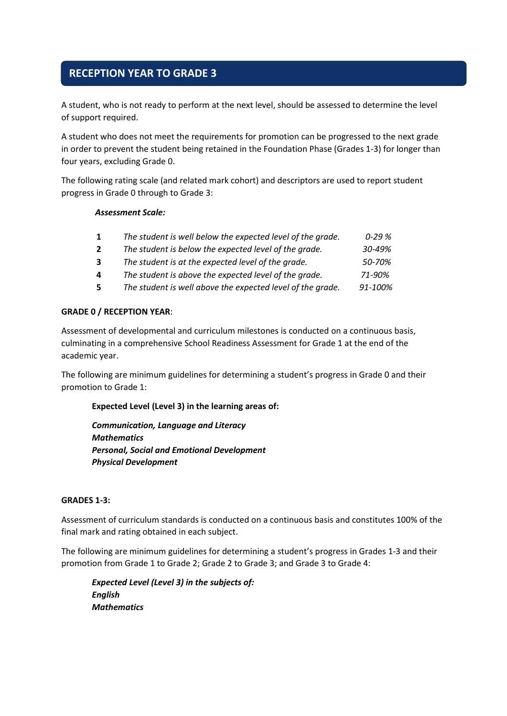## **RECEPTION YEAR TO GRADE 3**

A student, who is not ready to perform at the next level, should be assessed to determine the level of support required.

A student who does not meet the requirements for promotion can be progressed to the next grade in order to prevent the student being retained in the Foundation Phase (Grades 1-3) for longer than four years, excluding Grade 0.

The following rating scale (and related mark cohort) and descriptors are used to report student progress in Grade 0 through to Grade 3:

#### *Assessment Scale:*

| 1              | The student is well below the expected level of the grade. | $0 - 29\%$ |
|----------------|------------------------------------------------------------|------------|
| $\overline{2}$ | The student is below the expected level of the grade.      | 30-49%     |
| 3              | The student is at the expected level of the grade.         | 50-70%     |
| 4              | The student is above the expected level of the grade.      | 71-90%     |

**5** *The student is well above the expected level of the grade. 91-100%*

### **GRADE 0 / RECEPTION YEAR**:

Assessment of developmental and curriculum milestones is conducted on a continuous basis, culminating in a comprehensive School Readiness Assessment for Grade 1 at the end of the academic year.

The following are minimum guidelines for determining a student's progress in Grade 0 and their promotion to Grade 1:

**Expected Level (Level 3) in the learning areas of:**

*Communication, Language and Literacy Mathematics Personal, Social and Emotional Development Physical Development*

### **GRADES 1-3:**

Assessment of curriculum standards is conducted on a continuous basis and constitutes 100% of the final mark and rating obtained in each subject.

The following are minimum guidelines for determining a student's progress in Grades 1-3 and their promotion from Grade 1 to Grade 2; Grade 2 to Grade 3; and Grade 3 to Grade 4:

*Expected Level (Level 3) in the subjects of: English Mathematics*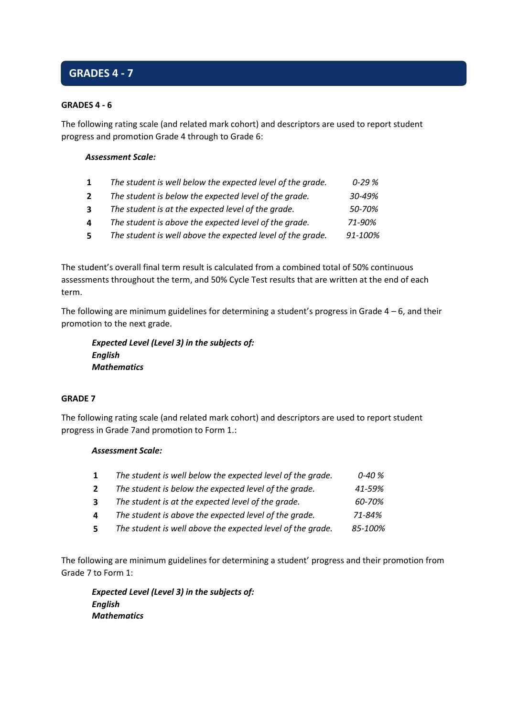# **GRADES 4 - 7**

#### **GRADES 4 - 6**

The following rating scale (and related mark cohort) and descriptors are used to report student progress and promotion Grade 4 through to Grade 6:

#### *Assessment Scale:*

|              | The student is well below the expected level of the grade. | $0 - 29%$ |
|--------------|------------------------------------------------------------|-----------|
|              | The student is below the expected level of the grade.      | 30-49%    |
| $\mathbf{3}$ | The student is at the expected level of the grade.         | 50-70%    |
| 4            | The student is above the expected level of the grade.      | 71-90%    |

**5** *The student is well above the expected level of the grade. 91-100%*

The student's overall final term result is calculated from a combined total of 50% continuous assessments throughout the term, and 50% Cycle Test results that are written at the end of each term.

The following are minimum guidelines for determining a student's progress in Grade  $4 - 6$ , and their promotion to the next grade.

*Expected Level (Level 3) in the subjects of: English Mathematics*

#### **GRADE 7**

The following rating scale (and related mark cohort) and descriptors are used to report student progress in Grade 7and promotion to Form 1.:

#### *Assessment Scale:*

| $\mathbf{1}$ | The student is well below the expected level of the grade. | $0 - 40%$ |
|--------------|------------------------------------------------------------|-----------|
| $2^{\circ}$  | The student is below the expected level of the grade.      | 41-59%    |
| 3            | The student is at the expected level of the grade.         | 60-70%    |
| 4            | The student is above the expected level of the grade.      | 71-84%    |
| 5.           | The student is well above the expected level of the grade. | 85-100%   |

The following are minimum guidelines for determining a student' progress and their promotion from Grade 7 to Form 1:

*Expected Level (Level 3) in the subjects of: English Mathematics*